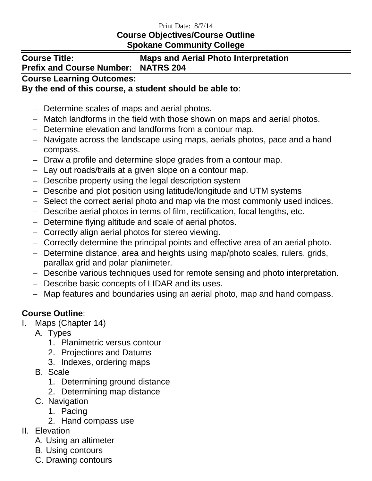#### Print Date: 8/7/14

## **Course Objectives/Course Outline Spokane Community College**

# **Course Title: Maps and Aerial Photo Interpretation Prefix and Course Number: NATRS 204**

### **Course Learning Outcomes:**

#### **By the end of this course, a student should be able to**:

- Determine scales of maps and aerial photos.
- Match landforms in the field with those shown on maps and aerial photos.
- Determine elevation and landforms from a contour map.
- Navigate across the landscape using maps, aerials photos, pace and a hand compass.
- Draw a profile and determine slope grades from a contour map.
- Lay out roads/trails at a given slope on a contour map.
- Describe property using the legal description system
- Describe and plot position using latitude/longitude and UTM systems
- Select the correct aerial photo and map via the most commonly used indices.
- Describe aerial photos in terms of film, rectification, focal lengths, etc.
- Determine flying altitude and scale of aerial photos.
- Correctly align aerial photos for stereo viewing.
- Correctly determine the principal points and effective area of an aerial photo.
- Determine distance, area and heights using map/photo scales, rulers, grids, parallax grid and polar planimeter.
- Describe various techniques used for remote sensing and photo interpretation.
- Describe basic concepts of LIDAR and its uses.
- Map features and boundaries using an aerial photo, map and hand compass.

# **Course Outline**:

- I. Maps (Chapter 14)
	- A. Types
		- 1. Planimetric versus contour
		- 2. Projections and Datums
		- 3. Indexes, ordering maps
	- B. Scale
		- 1. Determining ground distance
		- 2. Determining map distance
	- C. Navigation
		- 1. Pacing
		- 2. Hand compass use
- II. Elevation
	- A. Using an altimeter
	- B. Using contours
	- C. Drawing contours